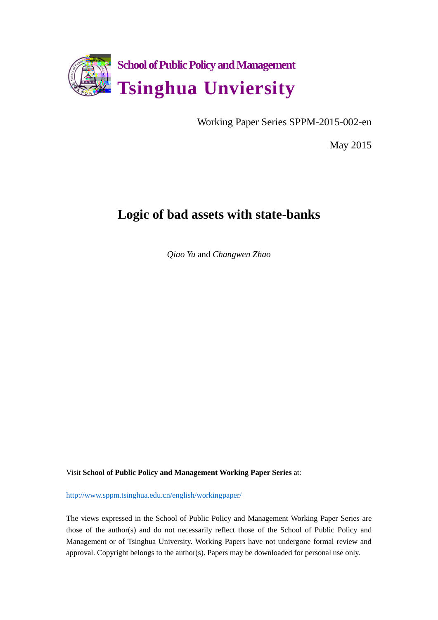

Working Paper Series SPPM-2015-002-en

May 2015

# **Logic of bad assets with state-banks**

*Qiao Yu* and *Changwen Zhao*

Visit **School of Public Policy and Management Working Paper Series** at:

[http://www.sppm.tsinghua.edu.cn/english/workingpaper/](/english/workingpaper/)

The views expressed in the School of Public Policy and Management Working Paper Series are those of the author(s) and do not necessarily reflect those of the School of Public Policy and Management or of Tsinghua University. Working Papers have not undergone formal review and approval. Copyright belongs to the author(s). Papers may be downloaded for personal use only.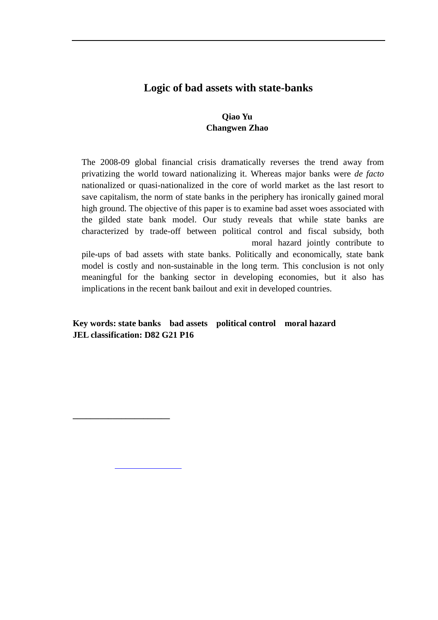## **Logic of bad assets with state-banks**

### **Qiao Yu Changwen Zhao**

The 2008-09 global financial crisis dramatically reverses the trend away from privatizing the world toward nationalizing it. Whereas major banks were *de facto* nationalized or quasi-nationalized in the core of world market as the last resort to save capitalism, the norm of state banks in the periphery has ironically gained moral high ground. The objective of this paper is to examine bad asset woes associated with the gilded state bank model. Our study reveals that while state banks are characterized by trade-off between political control and fiscal subsidy, both moral hazard jointly contribute to pile-ups of bad assets with state banks. Politically and economically, state bank

model is costly and non-sustainable in the long term. This conclusion is not only meaningful for the banking sector in developing economies, but it also has implications in the recent bank bailout and exit in developed countries.

**Key words: state banks bad assets political control moral hazard JEL classification: D82 G21 P16** 

mail address: qiaoyu<u>m atdas singhua.edu.cn; el: (8610)6278</u>3475 Fax (8610)62783475 Fax (8610)627875 Fax (8610)627

**\_\_\_\_\_\_\_\_\_\_\_\_\_\_\_\_\_\_\_\_\_\_**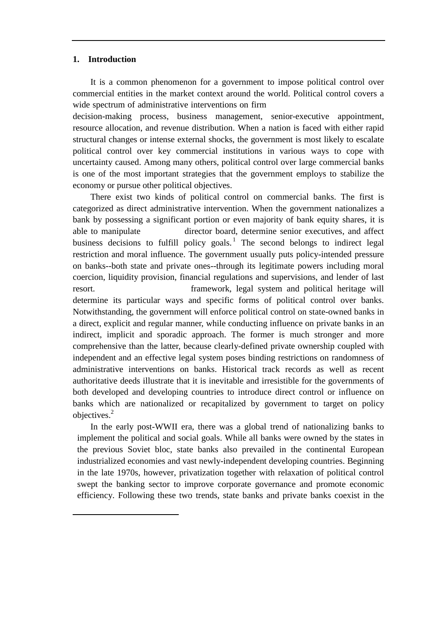#### **1. Introduction**

-

It is a common phenomenon for a government to impose political control over commercial entities in the market context around the world. Political control covers a wide spectrum of administrative interventions on firm

decision-making process, business management, senior-executive appointment, resource allocation, and revenue distribution. When a nation is faced with either rapid structural changes or intense external shocks, the government is most likely to escalate political control over key commercial institutions in various ways to cope with uncertainty caused. Among many others, political control over large commercial banks is one of the most important strategies that the government employs to stabilize the economy or pursue other political objectives.

There exist two kinds of political control on commercial banks. The first is categorized as direct administrative intervention. When the government nationalizes a bank by possessing a significant portion or even majority of bank equity shares, it is able to manipulate director board, determine senior executives, and affect business decisions to fulfill policy goals.<sup>1</sup> The second belongs to indirect legal restriction and moral influence. The government usually puts policy-intended pressure on banks--both state and private ones--through its legitimate powers including moral coercion, liquidity provision, financial regulations and supervisions, and lender of last resort. The country's framework, legal system and political heritage will determine its particular ways and specific forms of political control over banks. Notwithstanding, the government will enforce political control on state-owned banks in a direct, explicit and regular manner, while conducting influence on private banks in an indirect, implicit and sporadic approach. The former is much stronger and more comprehensive than the latter, because clearly-defined private ownership coupled with independent and an effective legal system poses binding restrictions on randomness of administrative interventions on banks. Historical track records as well as recent authoritative deeds illustrate that it is inevitable and irresistible for the governments of both developed and developing countries to introduce direct control or influence on banks which are nationalized or recapitalized by government to target on policy objectives. 2

In the early post-WWII era, there was a global trend of nationalizing banks to implement the political and social goals. While all banks were owned by the states in the previous Soviet bloc, state banks also prevailed in the continental European industrialized economies and vast newly-independent developing countries. Beginning in the late 1970s, however, privatization together with relaxation of political control swept the banking sector to improve corporate governance and promote economic efficiency. Following these two trends, state banks and private banks coexist in the

troubled Merrill Lynch and kept silence to the shareholders on Merrill loss. "Merrill loss kept under wraps", *Wall*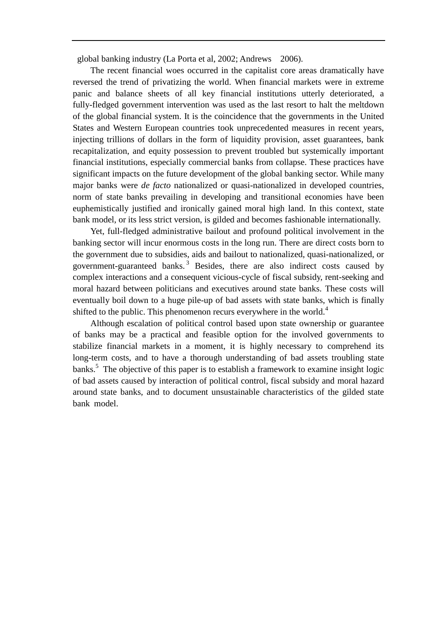global banking industry (La Porta et al, 2002; Andrews 2006).

The recent financial woes occurred in the capitalist core areas dramatically have reversed the trend of privatizing the world. When financial markets were in extreme panic and balance sheets of all key financial institutions utterly deteriorated, a fully-fledged government intervention was used as the last resort to halt the meltdown of the global financial system. It is the coincidence that the governments in the United States and Western European countries took unprecedented measures in recent years, injecting trillions of dollars in the form of liquidity provision, asset guarantees, bank recapitalization, and equity possession to prevent troubled but systemically important financial institutions, especially commercial banks from collapse. These practices have significant impacts on the future development of the global banking sector. While many major banks were *de facto* nationalized or quasi-nationalized in developed countries, norm of state banks prevailing in developing and transitional economies have been euphemistically justified and ironically gained moral high land. In this context, state bank model, or its less strict version, is gilded and becomes fashionable internationally.

Yet, full-fledged administrative bailout and profound political involvement in the banking sector will incur enormous costs in the long run. There are direct costs born to the government due to subsidies, aids and bailout to nationalized, quasi-nationalized, or government-guaranteed banks.<sup>3</sup> Besides, there are also indirect costs caused by complex interactions and a consequent vicious-cycle of fiscal subsidy, rent-seeking and moral hazard between politicians and executives around state banks. These costs will eventually boil down to a huge pile-up of bad assets with state banks, which is finally shifted to the public. This phenomenon recurs everywhere in the world.<sup>4</sup>

Although escalation of political control based upon state ownership or guarantee of banks may be a practical and feasible option for the involved governments to stabilize financial markets in a moment, it is highly necessary to comprehend its long-term costs, and to have a thorough understanding of bad assets troubling state banks.<sup>5</sup> The objective of this paper is to establish a framework to examine insight logic of bad assets caused by interaction of political control, fiscal subsidy and moral hazard around state banks, and to document unsustainable characteristics of the gilded state bank model.,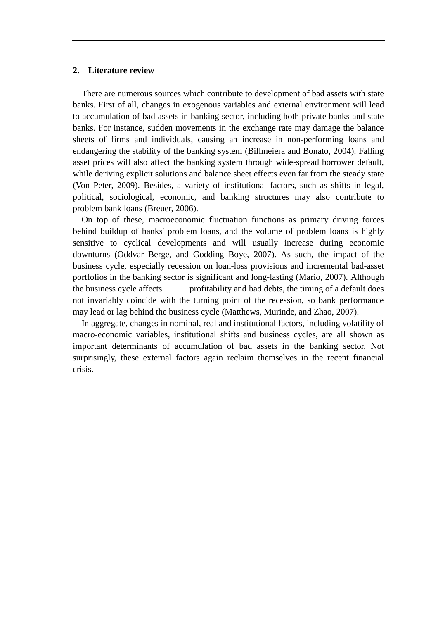#### **2. Literature review**

There are numerous sources which contribute to development of bad assets with state banks. First of all, changes in exogenous variables and external environment will lead to accumulation of bad assets in banking sector, including both private banks and state banks. For instance, sudden movements in the exchange rate may damage the balance sheets of firms and individuals, causing an increase in non-performing loans and endangering the stability of the banking system (Billmeiera and Bonato, 2004). Falling asset prices will also affect the banking system through wide-spread borrower default, while deriving explicit solutions and balance sheet effects even far from the steady state (Von Peter, 2009). Besides, a variety of institutional factors, such as shifts in legal, political, sociological, economic, and banking structures may also contribute to problem bank loans (Breuer, 2006).

On top of these, macroeconomic fluctuation functions as primary driving forces behind buildup of banks' problem loans, and the volume of problem loans is highly sensitive to cyclical developments and will usually increase during economic downturns (Oddvar Berge, and Godding Boye, 2007). As such, the impact of the business cycle, especially recession on loan-loss provisions and incremental bad-asset portfolios in the banking sector is significant and long-lasting (Mario, 2007). Although the business cycle affects profitability and bad debts, the timing of a default does not invariably coincide with the turning point of the recession, so bank performance may lead or lag behind the business cycle (Matthews, Murinde, and Zhao, 2007). ss provisions and incremental bad-asset<br>ad long-lasting (Mario, 2007). Although<br>d bad debts, the timing of a default does

In aggregate, changes in nominal, real and institutional factors, including volatility of macro-economic variables, institutional shifts and business cycles, are all shown as important determinants of accumulation of bad assets in the banking sector. Not surprisingly, these external factors again reclaim themselves in the recent financial crisis.

-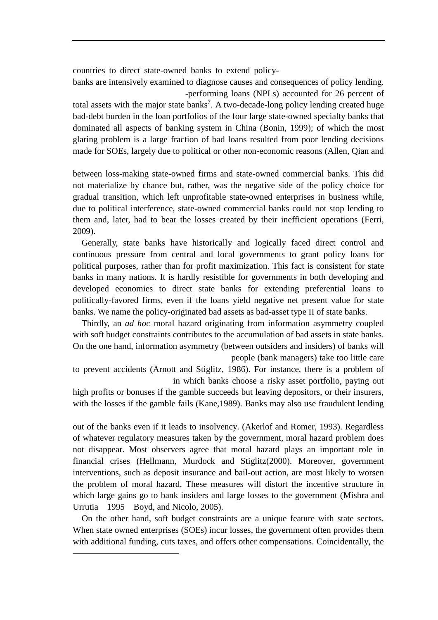countries to direct state-owned banks to extend policy-

banks are intensively examined to diagnose causes and consequences of policy lending. -performing loans (NPLs) accounted for 26 percent of

total assets with the major state banks<sup>7</sup>. A two-decade-long policy lending created huge bad-debt burden in the loan portfolios of the four large state-owned specialty banks that dominated all aspects of banking system in China (Bonin, 1999); of which the most glaring problem is a large fraction of bad loans resulted from poor lending decisions made for SOEs, largely due to political or other non-economic reasons (Allen, Qian and

between loss-making state-owned firms and state-owned commercial banks. This did not materialize by chance but, rather, was the negative side of the policy choice for gradual transition, which left unprofitable state-owned enterprises in business while, due to political interference, state-owned commercial banks could not stop lending to them and, later, had to bear the losses created by their inefficient operations (Ferri, 2009).

Generally, state banks have historically and logically faced direct control and continuous pressure from central and local governments to grant policy loans for political purposes, rather than for profit maximization. This fact is consistent for state banks in many nations. It is hardly resistible for governments in both developing and developed economies to direct state banks for extending preferential loans to politically-favored firms, even if the loans yield negative net present value for state banks. We name the policy-originated bad assets as bad-asset type II of state banks.

Thirdly, an *ad hoc* moral hazard originating from information asymmetry coupled with soft budget constraints contributes to the accumulation of bad assets in state banks. On the one hand, information asymmetry (between outsiders and insiders) of banks will

people (bank managers) take too little care

to prevent accidents (Arnott and Stiglitz, 1986). For instance, there is a problem of in which banks choose a risky asset portfolio, paying out

high profits or bonuses if the gamble succeeds but leaving depositors, or their insurers, with the losses if the gamble fails (Kane, 1989). Banks may also use fraudulent lending

out of the banks even if it leads to insolvency. (Akerlof and Romer, 1993). Regardless of whatever regulatory measures taken by the government, moral hazard problem does not disappear. Most observers agree that moral hazard plays an important role in financial crises (Hellmann, Murdock and Stiglitz(2000). Moreover, government interventions, such as deposit insurance and bail-out action, are most likely to worsen the problem of moral hazard. These measures will distort the incentive structure in which large gains go to bank insiders and large losses to the government (Mishra and Urrutia 1995 Boyd, and Nicolo, 2005).

On the other hand, soft budget constraints are a unique feature with state sectors. When state owned enterprises (SOEs) incur losses, the government often provides them with additional funding, cuts taxes, and offers other compensations. Coincidentally, the

-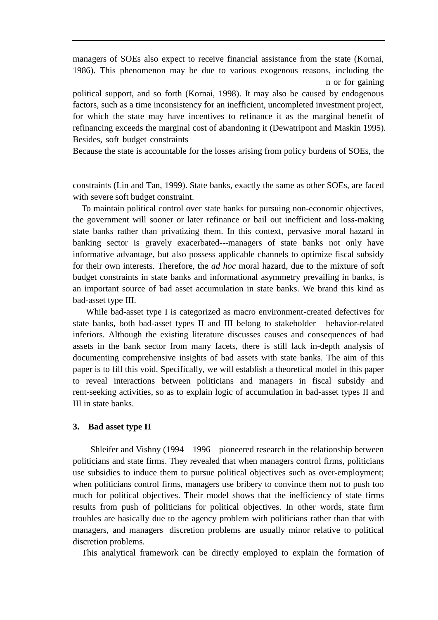managers of SOEs also expect to receive financial assistance from the state (Kornai, 1986). This phenomenon may be due to various exogenous reasons, including the n or for gaining

political support, and so forth (Kornai, 1998). It may also be caused by endogenous factors, such as a time inconsistency for an inefficient, uncompleted investment project, for which the state may have incentives to refinance it as the marginal benefit of refinancing exceeds the marginal cost of abandoning it (Dewatripont and Maskin 1995). Besides, soft budget constraints

Because the state is accountable for the losses arising from policy burdens of SOEs, the

constraints (Lin and Tan, 1999). State banks, exactly the same as other SOEs, are faced with severe soft budget constraint.

To maintain political control over state banks for pursuing non-economic objectives, the government will sooner or later refinance or bail out inefficient and loss-making state banks rather than privatizing them. In this context, pervasive moral hazard in banking sector is gravely exacerbated---managers of state banks not only have informative advantage, but also possess applicable channels to optimize fiscal subsidy for their own interests. Therefore, the *ad hoc* moral hazard, due to the mixture of soft budget constraints in state banks and informational asymmetry prevailing in banks, is an important source of bad asset accumulation in state banks. We brand this kind as bad-asset type III.

While bad-asset type I is categorized as macro environment-created defectives for state banks, both bad-asset types II and III belong to stakeholder behavior-related inferiors. Although the existing literature discusses causes and consequences of bad assets in the bank sector from many facets, there is still lack in-depth analysis of documenting comprehensive insights of bad assets with state banks. The aim of this paper is to fill this void. Specifically, we will establish a theoretical model in this paper to reveal interactions between politicians and managers in fiscal subsidy and rent-seeking activities, so as to explain logic of accumulation in bad-asset types II and III in state banks.

#### **3. Bad asset type II**

Shleifer and Vishny (1994 1996 pioneered research in the relationship between politicians and state firms. They revealed that when managers control firms, politicians use subsidies to induce them to pursue political objectives such as over-employment; when politicians control firms, managers use bribery to convince them not to push too much for political objectives. Their model shows that the inefficiency of state firms results from push of politicians for political objectives. In other words, state firm troubles are basically due to the agency problem with politicians rather than that with managers, and managers discretion problems are usually minor relative to political discretion problems.

This analytical framework can be directly employed to explain the formation of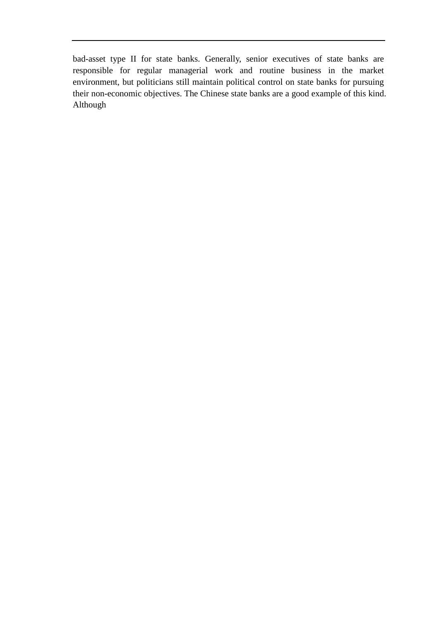bad-asset type II for state banks. Generally, senior executives of state banks are responsible for regular managerial work and routine business in the market environment, but politicians still maintain political control on state banks for pursuing their non-economic objectives. The Chinese state banks are a good example of this kind. Although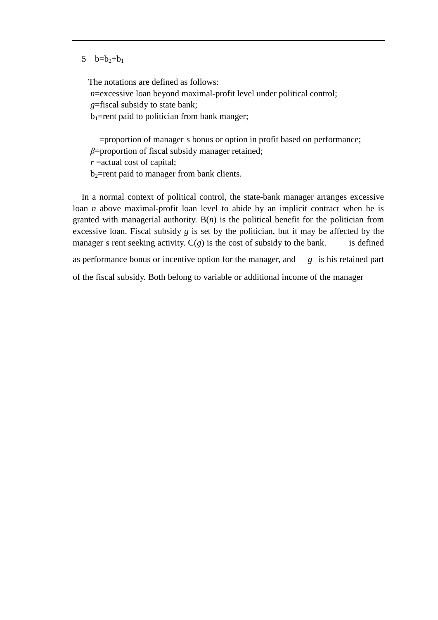#### 5  $b=b_2+b_1$

The notations are defined as follows: *n*=excessive loan beyond maximal-profit level under political control; *g*=fiscal subsidy to state bank;  $b_1$ =rent paid to politician from bank manger;

=proportion of manager s bonus or option in profit based on performance; *β*=proportion of fiscal subsidy manager retained;

*r* =actual cost of capital;

 $b_2$ =rent paid to manager from bank clients.

In a normal context of political control, the state-bank manager arranges excessive loan *n* above maximal-profit loan level to abide by an implicit contract when he is granted with managerial authority.  $B(n)$  is the political benefit for the politician from excessive loan. Fiscal subsidy *g* is set by the politician, but it may be affected by the manager s rent seeking activity.  $C(g)$  is the cost of subsidy to the bank. is defined

as performance bonus or incentive option for the manager, and *g* is his retained part the fiscal subsidy. Both belong to variable or additional income of the manager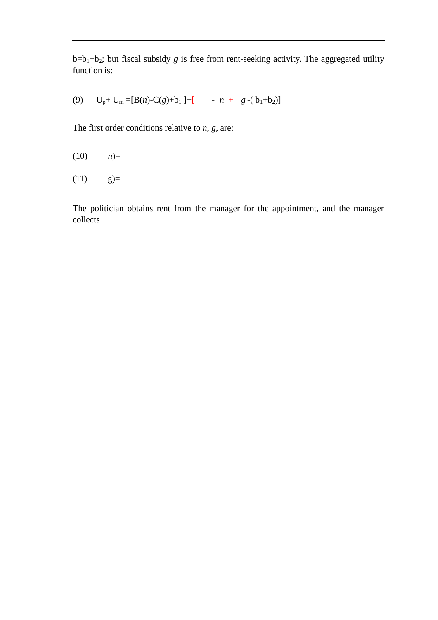$b=b_1+b_2$ ; but fiscal subsidy *g* is free from rent-seeking activity. The aggregated utility function is:

(9)  $U_p + U_m = [B(n) - C(g) + b_1] + [-n + g - (b_1 + b_2)]$ 

The first order conditions relative to *n*, *g,* are:

 $(10)$   $n)=$ 

 $(11)$  g)=

The politician obtains rent from the manager for the appointment, and the manager collects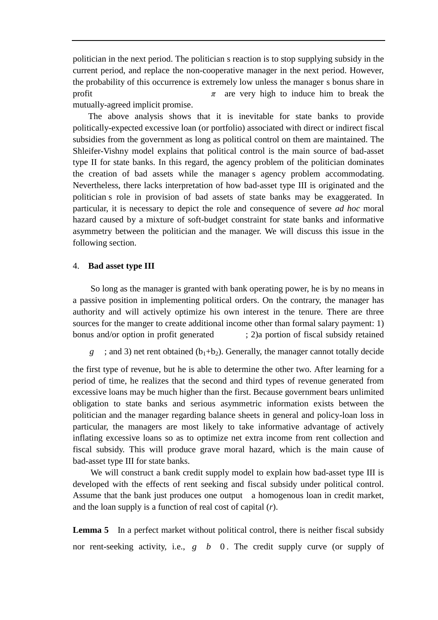politician in the next period. The politician s reaction is to stop supplying subsidy in the current period, and replace the non-cooperative manager in the next period. However, the probability of this occurrence is extremely low unless the manager s bonus share in profit  $\pi$  are very high to induce him to break the mutually-agreed implicit promise.

The above analysis shows that it is inevitable for state banks to provide politically-expected excessive loan (or portfolio) associated with direct or indirect fiscal subsidies from the government as long as political control on them are maintained. The Shleifer-Vishny model explains that political control is the main source of bad-asset type II for state banks. In this regard, the agency problem of the politician dominates the creation of bad assets while the manager s agency problem accommodating. Nevertheless, there lacks interpretation of how bad-asset type III is originated and the politician s role in provision of bad assets of state banks may be exaggerated. In particular, it is necessary to depict the role and consequence of severe *ad hoc* moral hazard caused by a mixture of soft-budget constraint for state banks and informative asymmetry between the politician and the manager. We will discuss this issue in the following section.

#### 4. **Bad asset type III**

So long as the manager is granted with bank operating power, he is by no means in a passive position in implementing political orders. On the contrary, the manager has authority and will actively optimize his own interest in the tenure. There are three sources for the manger to create additional income other than formal salary payment: 1) bonus and/or option in profit generated ; 2)a portion of fiscal subsidy retained

*g* ; and 3) net rent obtained  $(b_1+b_2)$ . Generally, the manager cannot totally decide

the first type of revenue, but he is able to determine the other two. After learning for a period of time, he realizes that the second and third types of revenue generated from excessive loans may be much higher than the first. Because government bears unlimited obligation to state banks and serious asymmetric information exists between the politician and the manager regarding balance sheets in general and policy-loan loss in particular, the managers are most likely to take informative advantage of actively inflating excessive loans so as to optimize net extra income from rent collection and fiscal subsidy. This will produce grave moral hazard, which is the main cause of bad-asset type III for state banks.

We will construct a bank credit supply model to explain how bad-asset type III is developed with the effects of rent seeking and fiscal subsidy under political control. Assume that the bank just produces one output a homogenous loan in credit market, and the loan supply is a function of real cost of capital (*r*).

**Lemma 5** In a perfect market without political control, there is neither fiscal subsidy nor rent-seeking activity, i.e., *g b* 0 . The credit supply curve (or supply of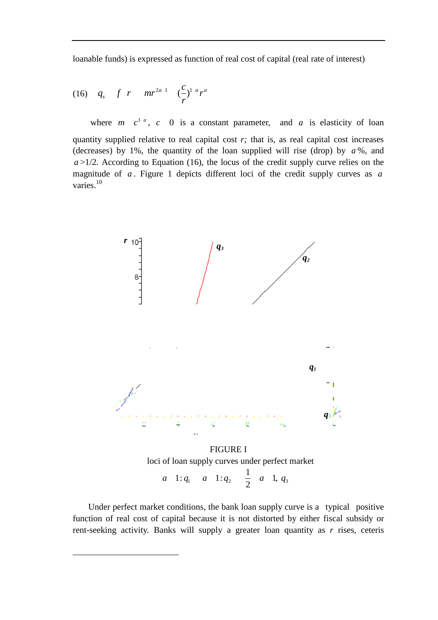loanable funds) is expressed as function of real cost of capital (real rate of interest)

(16) 
$$
q_s
$$
  $f$   $r$   $mr^{2a} - \left(\frac{c}{r}\right)^{1} {a \choose r}^{a}$ 

-

where  $m \, c^{1}$ ,  $c \, 0$  is a constant parameter, and  $a$  is elasticity of loan quantity supplied relative to real capital cost *r;* that is, as real capital cost increases (decreases) by 1%, the quantity of the loan supplied will rise (drop) by *a* %, and  $a$  >1/2. According to Equation (16), the locus of the credit supply curve relies on the magnitude of *a* . Figure 1 depicts different loci of the credit supply curves as *a* varies.<sup>10</sup>



loci of loan supply curves under perfect market *a* 1:  $q_1$  *a* 1:  $q_2$   $\frac{1}{2}$  *a* 1,  $q_3$ 

Under perfect market conditions, the bank loan supply curve is a typical positive function of real cost of capital because it is not distorted by either fiscal subsidy or rent-seeking activity. Banks will supply a greater loan quantity as *r* rises, ceteris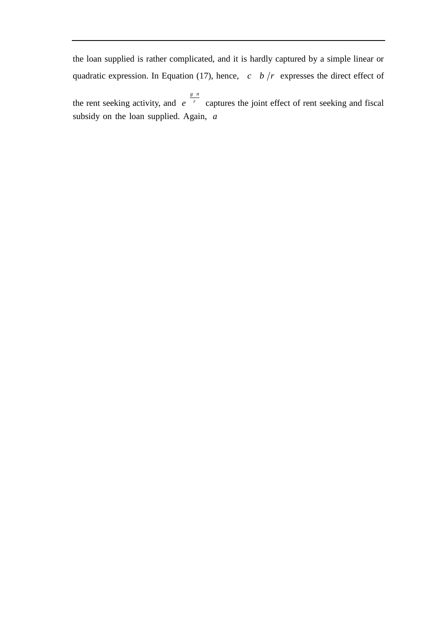the loan supplied is rather complicated, and it is hardly captured by a simple linear or quadratic expression. In Equation (17), hence,  $c \cdot b / r$  expresses the direct effect of

the rent seeking activity, and *r g n e* captures the joint effect of rent seeking and fiscal subsidy on the loan supplied. Again, *a*

the

BT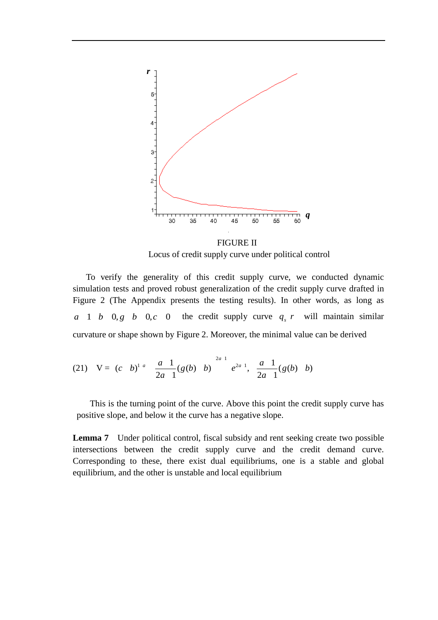

FIGURE II Locus of credit supply curve under political control

 To verify the generality of this credit supply curve, we conducted dynamic simulation tests and proved robust generalization of the credit supply curve drafted in Figure 2 (The Appendix presents the testing results). In other words, as long as *a* 1 *b* 0, *g b* 0, *c* 0 the credit supply curve  $q_s r$  will maintain similar

curvature or shape shown by Figure 2. Moreover, the minimal value can be derived  
\n(21) 
$$
V = (c \ b)^{1 \ a} \frac{a}{2a} \frac{1}{1} (g(b) \ b)^{2a} e^{2a} , \frac{a}{2a} \frac{1}{1} (g(b) \ b)
$$

This is the turning point of the curve. Above this point the credit supply curve has positive slope, and below it the curve has a negative slope.

**Lemma 7** Under political control, fiscal subsidy and rent seeking create two possible intersections between the credit supply curve and the credit demand curve. Corresponding to these, there exist dual equilibriums, one is a stable and global equilibrium, and the other is unstable and local equilibrium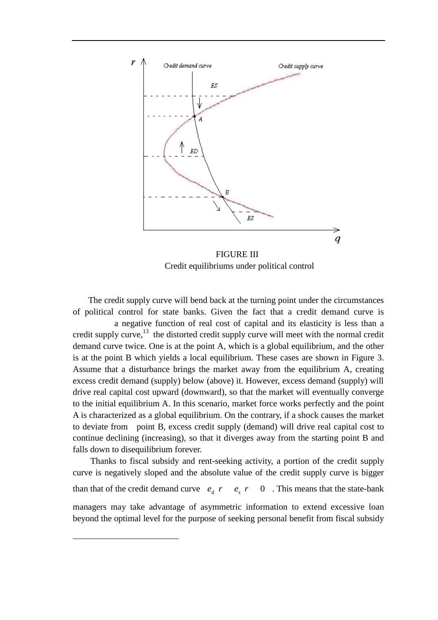

Credit equilibriums under political control

The credit supply curve will bend back at the turning point under the circumstances of political control for state banks. Given the fact that a credit demand curve is a negative function of real cost of capital and its elasticity is less than a credit supply curve, $^{13}$  the distorted credit supply curve will meet with the normal credit demand curve twice. One is at the point A, which is a global equilibrium, and the other is at the point B which yields a local equilibrium. These cases are shown in Figure 3. Assume that a disturbance brings the market away from the equilibrium A, creating excess credit demand (supply) below (above) it. However, excess demand (supply) will drive real capital cost upward (downward), so that the market will eventually converge to the initial equilibrium A. In this scenario, market force works perfectly and the point A is characterized as a global equilibrium. On the contrary, if a shock causes the market to deviate from point B, excess credit supply (demand) will drive real capital cost to continue declining (increasing), so that it diverges away from the starting point B and falls down to disequilibrium forever.

Thanks to fiscal subsidy and rent-seeking activity, a portion of the credit supply curve is negatively sloped and the absolute value of the credit supply curve is bigger than that of the credit demand curve  $e_d$   $r$   $e_s$   $r$  0 . This means that the state-bank managers may take advantage of asymmetric information to extend excessive loan beyond the optimal level for the purpose of seeking personal benefit from fiscal subsidy

-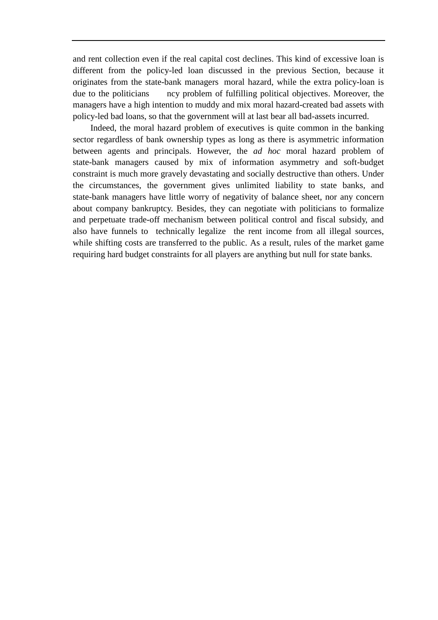and rent collection even if the real capital cost declines. This kind of excessive loan is different from the policy-led loan discussed in the previous Section, because it originates from the state-bank managers' moral hazard, while the extra policy-loan is due to the politicians are problem of fulfilling political objectives. Moreover, the managers have a high intention to muddy and mix moral hazard-created bad assets with policy-led bad loans, so that the government will at last bear all bad-assets incurred.

Indeed, the moral hazard problem of executives is quite common in the banking sector regardless of bank ownership types as long as there is asymmetric information between agents and principals. However, the *ad hoc* moral hazard problem of state-bank managers caused by mix of information asymmetry and soft-budget constraint is much more gravely devastating and socially destructive than others. Under the circumstances, the government gives unlimited liability to state banks, and state-bank managers have little worry of negativity of balance sheet, nor any concern about company bankruptcy. Besides, they can negotiate with politicians to formalize and perpetuate trade-off mechanism between political control and fiscal subsidy, and also have funnels to technically legalize" the rent income from all illegal sources, while shifting costs are transferred to the public. As a result, rules of the market game requiring hard budget constraints for all players are anything but null for state banks.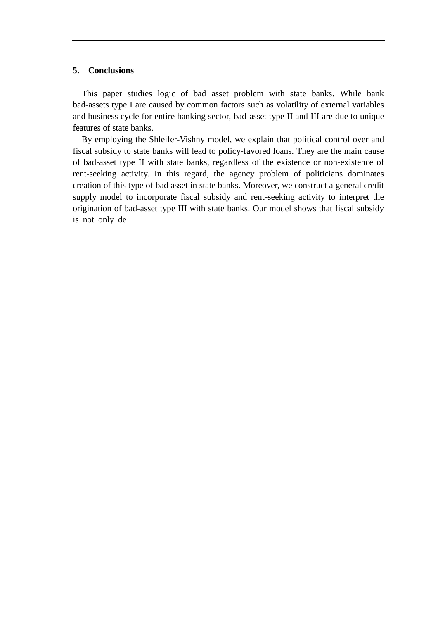#### **5. Conclusions**

This paper studies logic of bad asset problem with state banks. While bank bad-assets type I are caused by common factors such as volatility of external variables and business cycle for entire banking sector, bad-asset type II and III are due to unique features of state banks.

By employing the Shleifer-Vishny model, we explain that political control over and fiscal subsidy to state banks will lead to policy-favored loans. They are the main cause of bad-asset type II with state banks, regardless of the existence or non-existence of rent-seeking activity. In this regard, the agency problem of politicians dominates creation of this type of bad asset in state banks. Moreover, we construct a general credit supply model to incorporate fiscal subsidy and rent-seeking activity to interpret the origination of bad-asset type III with state banks. Our model shows that fiscal subsidy is not only de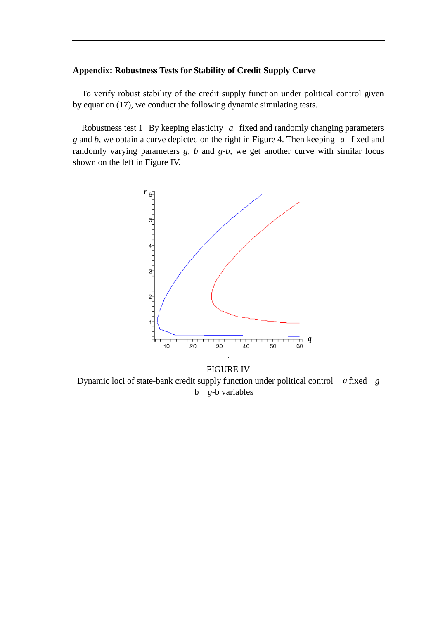#### **Appendix: Robustness Tests for Stability of Credit Supply Curve**

To verify robust stability of the credit supply function under political control given by equation (17), we conduct the following dynamic simulating tests.

Robustness test 1 By keeping elasticity *a* fixed and randomly changing parameters *g* and *b,* we obtain a curve depicted on the right in Figure 4. Then keeping *a* fixed and randomly varying parameters *g, b* and *g-b,* we get another curve with similar locus shown on the left in Figure IV.



Dynamic loci of state-bank credit supply function under political control *a* fixed *g* b *g*-b variables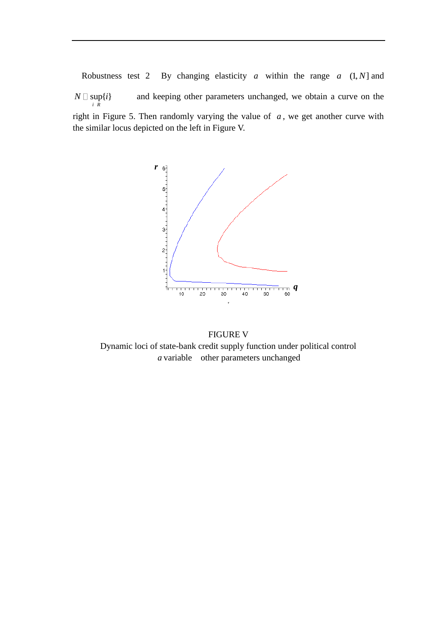Robustness test 2 By changing elasticity  $a$  within the range  $a$   $(1, N]$  and  $\sup\{i\}$ *i R* and keeping other parameters unchanged, we obtain a curve on the right in Figure 5. Then randomly varying the value of  $a$ , we get another curve with the similar locus depicted on the left in Figure V.



FIGURE V Dynamic loci of state-bank credit supply function under political control *a* variable other parameters unchanged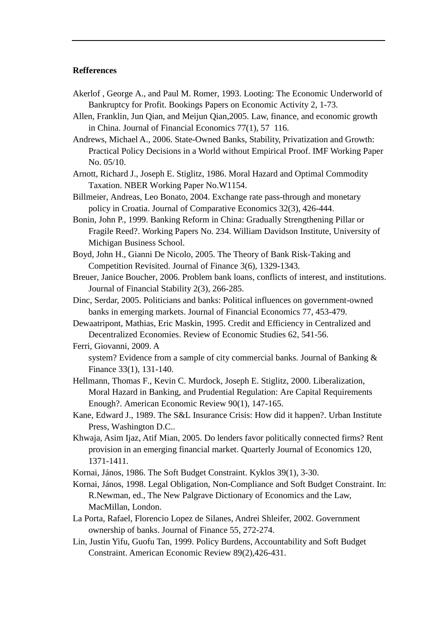#### **Refferences**

- Akerlof , George A., and Paul M. Romer, 1993. Looting: The Economic Underworld of Bankruptcy for Profit. Bookings Papers on Economic Activity 2, 1-73.
- Allen, Franklin, Jun Qian, and Meijun Qian,2005. Law, finance, and economic growth in China. Journal of Financial Economics 77(1), 57 116.
- Andrews, Michael A., 2006. State-Owned Banks, Stability, Privatization and Growth: Practical Policy Decisions in a World without Empirical Proof. IMF Working Paper No. 05/10.
- Arnott, Richard J., Joseph E. Stiglitz, 1986. Moral Hazard and Optimal Commodity Taxation. NBER Working Paper No.W1154.
- Billmeier, Andreas, Leo Bonato, 2004. Exchange rate pass-through and monetary policy in Croatia. Journal of Comparative Economics 32(3), 426-444.
- Bonin, John P., 1999. Banking Reform in China: Gradually Strengthening Pillar or Fragile Reed?. Working Papers No. 234. William Davidson Institute, University of Michigan Business School.
- Boyd, John H., Gianni De Nicolo, 2005. The Theory of Bank Risk-Taking and Competition Revisited. Journal of Finance 3(6), 1329-1343.
- Breuer, Janice Boucher, 2006. Problem bank loans, conflicts of interest, and institutions. Journal of Financial Stability 2(3), 266-285.
- Dinc, Serdar, 2005. Politicians and banks: Political influences on government-owned banks in emerging markets. Journal of Financial Economics 77, 453-479.
- Dewaatripont, Mathias, Eric Maskin, 1995. Credit and Efficiency in Centralized and Decentralized Economies. Review of Economic Studies 62, 541-56.
- Ferri, Giovanni, 2009. A system? Evidence from a sample of city commercial banks. Journal of Banking & Finance 33(1), 131-140.
- Hellmann, Thomas F., Kevin C. Murdock, Joseph E. Stiglitz, 2000. Liberalization, Moral Hazard in Banking, and Prudential Regulation: Are Capital Requirements Enough?. American Economic Review 90(1), 147-165.
- Kane, Edward J., 1989. The S&L Insurance Crisis: How did it happen?. Urban Institute Press, Washington D.C..
- Khwaja, Asim Ijaz, Atif Mian, 2005. Do lenders favor politically connected firms? Rent provision in an emerging financial market. Quarterly Journal of Economics 120, 1371-1411.
- Kornai, János, 1986. The Soft Budget Constraint. Kyklos 39(1), 3-30.
- Kornai, János, 1998. Legal Obligation, Non-Compliance and Soft Budget Constraint. In: R.Newman, ed., The New Palgrave Dictionary of Economics and the Law, MacMillan, London.
- La Porta, Rafael, Florencio Lopez de Silanes, Andrei Shleifer, 2002. Government ownership of banks. Journal of Finance 55, 272-274.
- Lin, Justin Yifu, Guofu Tan, 1999. Policy Burdens, Accountability and Soft Budget Constraint. American Economic Review 89(2),426-431.